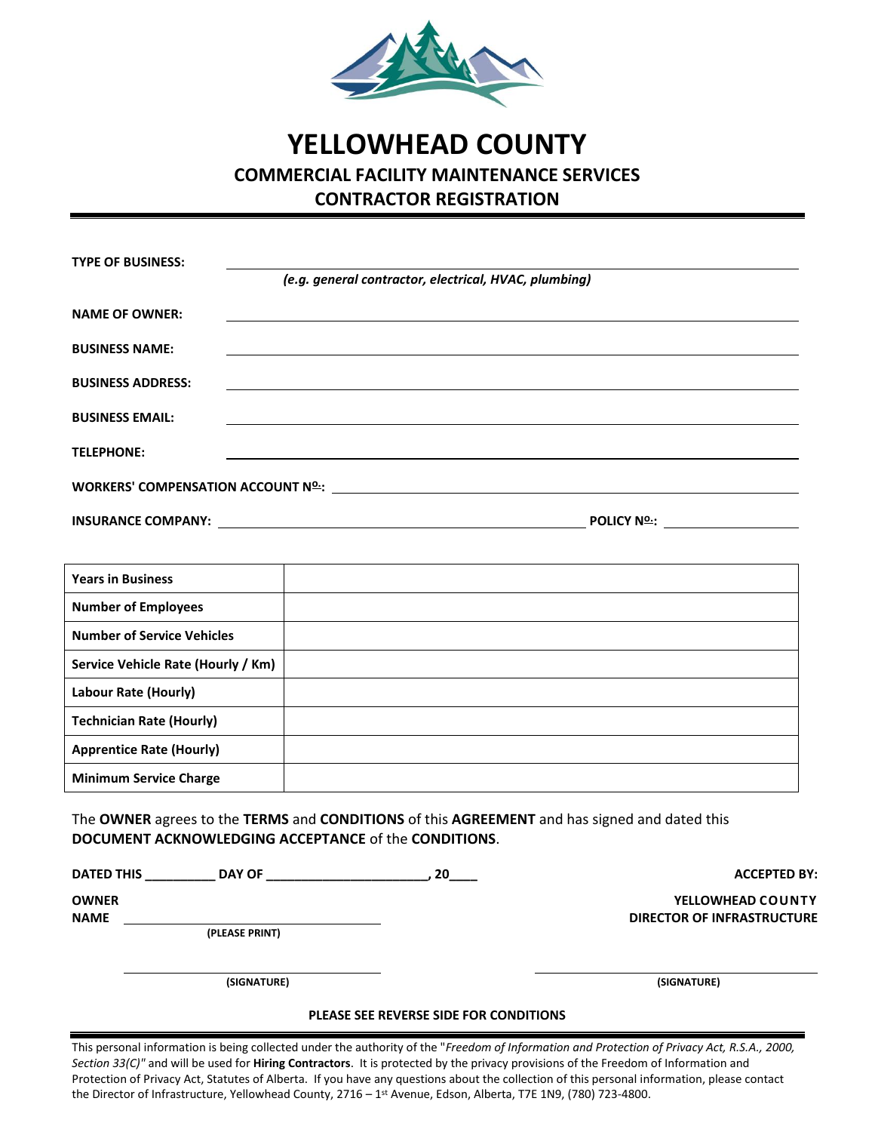

## **YELLOWHEAD COUNTY COMMERCIAL FACILITY MAINTENANCE SERVICES CONTRACTOR REGISTRATION**

| <b>TYPE OF BUSINESS:</b> |                                                                                                                                                                                                                                |                     |  |
|--------------------------|--------------------------------------------------------------------------------------------------------------------------------------------------------------------------------------------------------------------------------|---------------------|--|
|                          | (e.g. general contractor, electrical, HVAC, plumbing)                                                                                                                                                                          |                     |  |
| <b>NAME OF OWNER:</b>    |                                                                                                                                                                                                                                |                     |  |
| <b>BUSINESS NAME:</b>    |                                                                                                                                                                                                                                |                     |  |
| <b>BUSINESS ADDRESS:</b> | <u> 1989 - Johann Stein, mars an deutscher Stein und der Stein und der Stein und der Stein und der Stein und der</u>                                                                                                           |                     |  |
| <b>BUSINESS EMAIL:</b>   |                                                                                                                                                                                                                                |                     |  |
| <b>TELEPHONE:</b>        |                                                                                                                                                                                                                                |                     |  |
|                          |                                                                                                                                                                                                                                |                     |  |
|                          | WORKERS' COMPENSATION ACCOUNT Nº : NOTE AND THE SERVICE OF THE SERVICE OF THE SERVICE OF THE SERVICE OF THE SERVICE OF THE SERVICE OF THE SERVICE OF THE SERVICE OF THE SERVICE OF THE SERVICE OF THE SERVICE OF THE SERVICE O |                     |  |
|                          |                                                                                                                                                                                                                                | POLICY N <u>º :</u> |  |

| <b>Years in Business</b>           |  |
|------------------------------------|--|
| <b>Number of Employees</b>         |  |
| <b>Number of Service Vehicles</b>  |  |
| Service Vehicle Rate (Hourly / Km) |  |
| Labour Rate (Hourly)               |  |
| <b>Technician Rate (Hourly)</b>    |  |
| <b>Apprentice Rate (Hourly)</b>    |  |
| <b>Minimum Service Charge</b>      |  |

The **OWNER** agrees to the **TERMS** and **CONDITIONS** of this **AGREEMENT** and has signed and dated this **DOCUMENT ACKNOWLEDGING ACCEPTANCE** of the **CONDITIONS**.

**DATED THIS \_\_\_\_\_\_\_\_\_\_ DAY OF \_\_\_\_\_\_\_\_\_\_\_\_\_\_\_\_\_\_\_\_\_\_\_, 20\_\_\_\_ ACCEPTED BY:**

**(PLEASE PRINT)**

**OWNER YELLOWHEAD COUNTY NAME DIRECTOR OF INFRASTRUCTURE**

**(SIGNATURE) (SIGNATURE)**

## **PLEASE SEE REVERSE SIDE FOR CONDITIONS**

This personal information is being collected under the authority of the "*Freedom of Information and Protection of Privacy Act, R.S.A., 2000, Section 33(C)"* and will be used for **Hiring Contractors**. It is protected by the privacy provisions of the Freedom of Information and Protection of Privacy Act, Statutes of Alberta. If you have any questions about the collection of this personal information, please contact the Director of Infrastructure, Yellowhead County, 2716 – 1st Avenue, Edson, Alberta, T7E 1N9, (780) 723-4800.